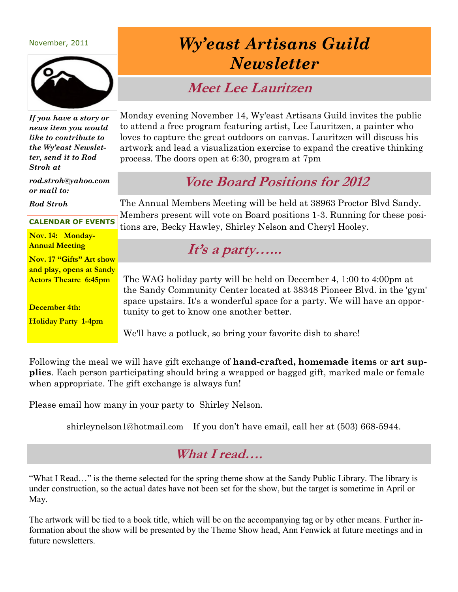#### November, 2011



*If you have a story or news item you would like to contribute to the Wy'east Newsletter, send it to Rod Stroh at*

*rod.stroh@yahoo.com or mail to:*

*Rod Stroh*

#### **CALENDAR OF EVENTS**

**Nov. 14: Monday-Annual Meeting**

**Nov. 17 "Gifts" Art show and play, opens at Sandy Actors Theatre 6:45pm**

**December 4th:** 

**Holiday Party 1-4pm**

## *Wy'east Artisans Guild Newsletter*

#### **Meet Lee Lauritzen**

Monday evening November 14, Wy'east Artisans Guild invites the public to attend a free program featuring artist, Lee Lauritzen, a painter who loves to capture the great outdoors on canvas. Lauritzen will discuss his artwork and lead a visualization exercise to expand the creative thinking process. The doors open at 6:30, program at 7pm

## **Vote Board Positions for 2012**

The Annual Members Meeting will be held at 38963 Proctor Blvd Sandy. Members present will vote on Board positions 1-3. Running for these positions are, Becky Hawley, Shirley Nelson and Cheryl Hooley.

#### **It's a party…...**

The WAG holiday party will be held on December 4, 1:00 to 4:00pm at the Sandy Community Center located at 38348 Pioneer Blvd. in the 'gym' space upstairs. It's a wonderful space for a party. We will have an opportunity to get to know one another better.

We'll have a potluck, so bring your favorite dish to share!

Following the meal we will have gift exchange of **hand-crafted, homemade items** or **art supplies**. Each person participating should bring a wrapped or bagged gift, marked male or female when appropriate. The gift exchange is always fun!

Please email how many in your party to Shirley Nelson.

shirleynelson1@hotmail.com If you don't have email, call her at (503) 668-5944.

#### **What I read….**

"What I Read…" is the theme selected for the spring theme show at the Sandy Public Library. The library is under construction, so the actual dates have not been set for the show, but the target is sometime in April or May.

The artwork will be tied to a book title, which will be on the accompanying tag or by other means. Further information about the show will be presented by the Theme Show head, Ann Fenwick at future meetings and in future newsletters.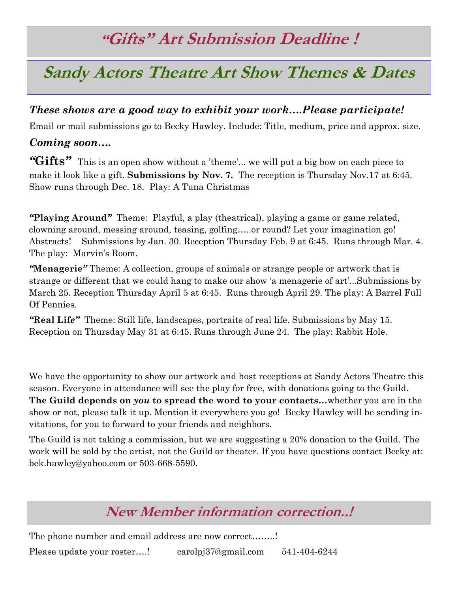# **"Gifts" Art Submission Deadline !**

## **Sandy Actors Theatre Art Show Themes & Dates**

#### *These shows are a good way to exhibit your work….Please participate!*

Email or mail submissions go to Becky Hawley. Include: Title, medium, price and approx. size.

#### *Coming soon….*

*"***Gifts***"* This is an open show without a 'theme'... we will put a big bow on each piece to make it look like a gift. **Submissions by Nov. 7.** The reception is Thursday Nov.17 at 6:45. Show runs through Dec. 18. Play: A Tuna Christmas

*"***Playing Around***"* Theme: Playful, a play (theatrical), playing a game or game related, clowning around, messing around, teasing, golfing…..or round? Let your imagination go! Abstracts! Submissions by Jan. 30. Reception Thursday Feb. 9 at 6:45. Runs through Mar. 4. The play: Marvin's Room.

*"***Menagerie***"* Theme: A collection, groups of animals or strange people or artwork that is strange or different that we could hang to make our show 'a menagerie of art'...Submissions by March 25. Reception Thursday April 5 at 6:45. Runs through April 29. The play: A Barrel Full Of Pennies.

*"***Real Lif***e"* Theme: Still life, landscapes, portraits of real life. Submissions by May 15. Reception on Thursday May 31 at 6:45. Runs through June 24. The play: Rabbit Hole.

We have the opportunity to show our artwork and host receptions at Sandy Actors Theatre this season. Everyone in attendance will see the play for free, with donations going to the Guild. **The Guild depends on** *you* **to spread the word to your contacts…**whether you are in the show or not, please talk it up. Mention it everywhere you go! Becky Hawley will be sending invitations, for you to forward to your friends and neighbors.

The Guild is not taking a commission, but we are suggesting a 20% donation to the Guild. The work will be sold by the artist, not the Guild or theater. If you have questions contact Becky at: bek.hawley@yahoo.com or 503-668-5590.

## **New Member information correction..!**

The phone number and email address are now correct........!

Please update your roster….! carolpj37@gmail.com 541-404-6244